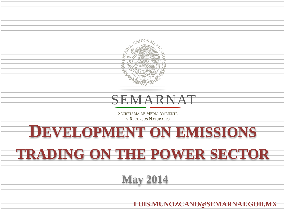

# SEMARNAT SEMARNAT

SECRETARÍA DE MEDIO AMBIENTE Y RECURSOS NATURALES

# **DEVELOPMENT ON EMISSIONS**

# **TRADING ON THE POWER SECTOR**

**May 2014**

**LUIS.MUNOZCANO@SEMARNAT.GOB.MX**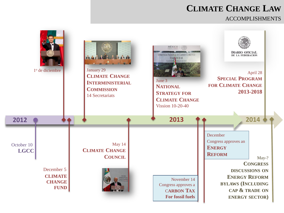## **CLIMATE CHANGE LAW**

#### ACCOMPLISHMENTS

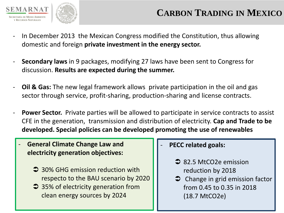

clean energy sources by 2024

- In December 2013 the Mexican Congress modified the Constitution, thus allowing domestic and foreign **private investment in the energy sector.**
- **Secondary laws** in 9 packages, modifying 27 laws have been sent to Congress for discussion. **Results are expected during the summer.**
- **Oil & Gas:** The new legal framework allows private participation in the oil and gas sector through service, profit-sharing, production-sharing and license contracts.
- **Power Sector.** Private parties will be allowed to participate in service contracts to assist CFE in the generation, transmission and distribution of electricity. **Cap and Trade to be developed. Special policies can be developed promoting the use of renewables**
- **General Climate Change Law and electricity generation objectives: 30% GHG emission reduction with** respecto to the BAU scenario by 2020 **■ 35% of electricity generation from** - **PECC related goals: → 82.5 MtCO2e emission** reduction by 2018  $\bullet$  Change in grid emission factor from 0.45 to 0.35 in 2018
	- (18.7 MtCO2e)